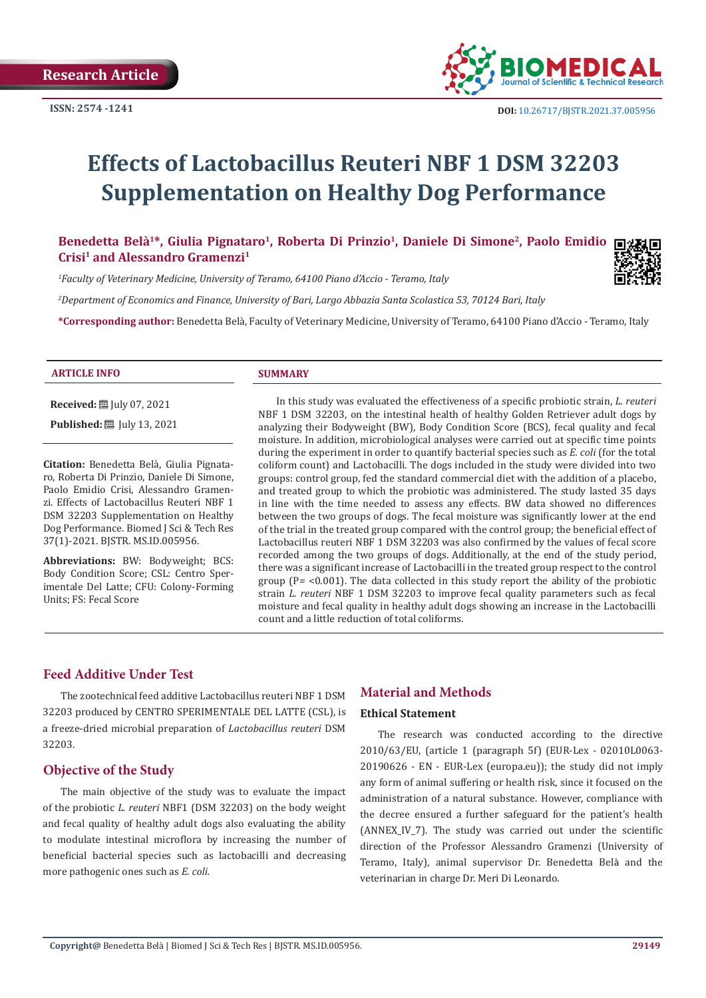

# **Effects of Lactobacillus Reuteri NBF 1 DSM 32203 Supplementation on Healthy Dog Performance**

Benedetta Belà<sup>1\*</sup>, Giulia Pignataro<sup>1</sup>, Roberta Di Prinzio<sup>1</sup>, Daniele Di Simone<sup>2</sup>, Paolo Emidio **Crisi1 and Alessandro Gramenzi1**

*1 Faculty of Veterinary Medicine, University of Teramo, 64100 Piano d'Accio - Teramo, Italy*

*2 Department of Economics and Finance, University of Bari, Largo Abbazia Santa Scolastica 53, 70124 Bari, Italy*

**\*Corresponding author:** Benedetta Belà, Faculty of Veterinary Medicine, University of Teramo, 64100 Piano d'Accio - Teramo, Italy

#### **ARTICLE INFO SUMMARY**

**Received:** July 07, 2021

**Published:** [201] July 13, 2021

**Citation:** Benedetta Belà, Giulia Pignataro, Roberta Di Prinzio, Daniele Di Simone, Paolo Emidio Crisi, Alessandro Gramenzi. Effects of Lactobacillus Reuteri NBF 1 DSM 32203 Supplementation on Healthy Dog Performance. Biomed J Sci & Tech Res 37(1)-2021. BJSTR. MS.ID.005956.

**Abbreviations:** BW: Bodyweight; BCS: Body Condition Score; CSL: Centro Sperimentale Del Latte; CFU: Colony-Forming Units; FS: Fecal Score

In this study was evaluated the effectiveness of a specific probiotic strain, *L. reuteri* NBF 1 DSM 32203, on the intestinal health of healthy Golden Retriever adult dogs by analyzing their Bodyweight (BW), Body Condition Score (BCS), fecal quality and fecal moisture. In addition, microbiological analyses were carried out at specific time points during the experiment in order to quantify bacterial species such as *E. coli* (for the total coliform count) and Lactobacilli. The dogs included in the study were divided into two groups: control group, fed the standard commercial diet with the addition of a placebo, and treated group to which the probiotic was administered. The study lasted 35 days in line with the time needed to assess any effects. BW data showed no differences between the two groups of dogs. The fecal moisture was significantly lower at the end of the trial in the treated group compared with the control group; the beneficial effect of Lactobacillus reuteri NBF 1 DSM 32203 was also confirmed by the values of fecal score recorded among the two groups of dogs. Additionally, at the end of the study period, there was a significant increase of Lactobacilli in the treated group respect to the control group ( $P = <0.001$ ). The data collected in this study report the ability of the probiotic strain *L. reuteri* NBF 1 DSM 32203 to improve fecal quality parameters such as fecal moisture and fecal quality in healthy adult dogs showing an increase in the Lactobacilli count and a little reduction of total coliforms.

# **Feed Additive Under Test**

The zootechnical feed additive Lactobacillus reuteri NBF 1 DSM 32203 produced by CENTRO SPERIMENTALE DEL LATTE (CSL), is a freeze-dried microbial preparation of *Lactobacillus reuteri* DSM 32203.

# **Objective of the Study**

The main objective of the study was to evaluate the impact of the probiotic *L. reuteri* NBF1 (DSM 32203) on the body weight and fecal quality of healthy adult dogs also evaluating the ability to modulate intestinal microflora by increasing the number of beneficial bacterial species such as lactobacilli and decreasing more pathogenic ones such as *E. coli.*

# **Material and Methods**

#### **Ethical Statement**

The research was conducted according to the directive 2010/63/EU, (article 1 (paragraph 5f) (EUR-Lex - 02010L0063- 20190626 - EN - EUR-Lex (europa.eu)); the study did not imply any form of animal suffering or health risk, since it focused on the administration of a natural substance. However, compliance with the decree ensured a further safeguard for the patient's health (ANNEX\_IV\_7). The study was carried out under the scientific direction of the Professor Alessandro Gramenzi (University of Teramo, Italy), animal supervisor Dr. Benedetta Belà and the veterinarian in charge Dr. Meri Di Leonardo.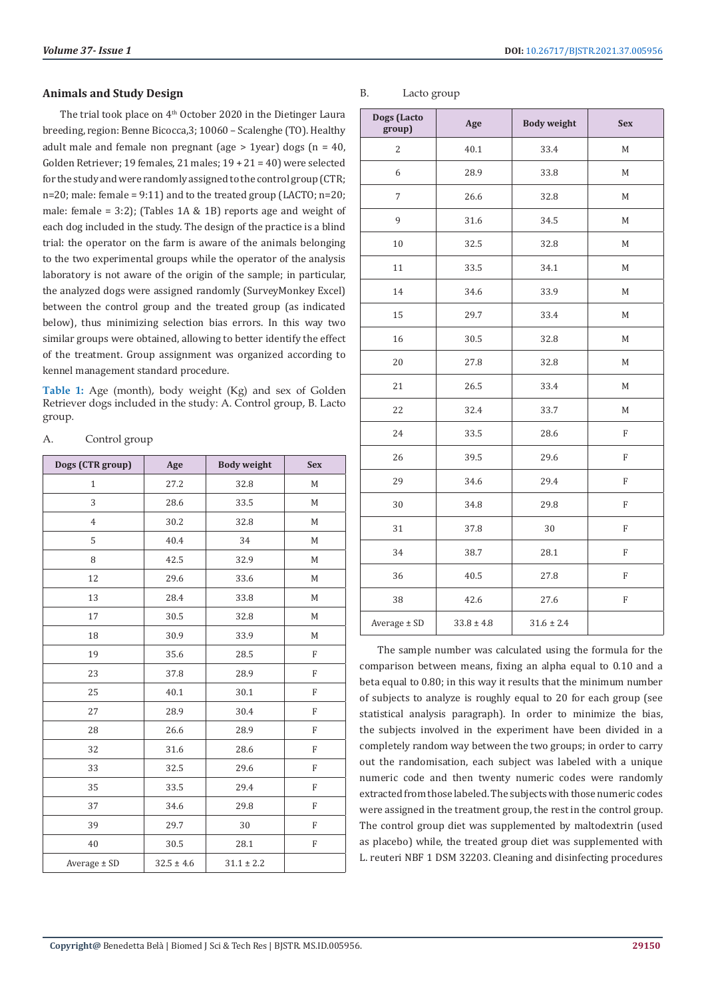The trial took place on 4<sup>th</sup> October 2020 in the Dietinger Laura breeding, region: Benne Bicocca,3; 10060 – Scalenghe (TO). Healthy adult male and female non pregnant (age  $> 1$ year) dogs (n = 40, Golden Retriever; 19 females, 21 males; 19 + 21 = 40) were selected for the study and were randomly assigned to the control group (CTR; n=20; male: female = 9:11) and to the treated group (LACTO; n=20; male: female = 3:2); (Tables 1A & 1B) reports age and weight of each dog included in the study. The design of the practice is a blind trial: the operator on the farm is aware of the animals belonging to the two experimental groups while the operator of the analysis laboratory is not aware of the origin of the sample; in particular, the analyzed dogs were assigned randomly (SurveyMonkey Excel) between the control group and the treated group (as indicated below), thus minimizing selection bias errors. In this way two similar groups were obtained, allowing to better identify the effect of the treatment. Group assignment was organized according to kennel management standard procedure.

**Table 1:** Age (month), body weight (Kg) and sex of Golden Retriever dogs included in the study: A. Control group, B. Lacto group.

| Dogs (CTR group) | Age            | <b>Body weight</b> | <b>Sex</b>     |
|------------------|----------------|--------------------|----------------|
| $\mathbf{1}$     | 27.2           | 32.8               | M              |
| 3                | 28.6           | 33.5               | M              |
| $\overline{4}$   | 30.2           | 32.8               | M              |
| 5                | 40.4           | 34                 | M              |
| 8                | 42.5           | 32.9               | M              |
| 12               | 29.6           | 33.6               | M              |
| 13               | 28.4           | 33.8               | M              |
| 17               | 30.5           | 32.8               | M              |
| 18               | 30.9           | 33.9               | M              |
| 19               | 35.6           | 28.5               | $\overline{F}$ |
| 23               | 37.8           | 28.9               | F              |
| 25               | 40.1           | 30.1               | F              |
| 27               | 28.9           | 30.4               | $\overline{F}$ |
| 28               | 26.6           | 28.9               | $\overline{F}$ |
| 32               | 31.6           | 28.6               | F              |
| 33               | 32.5           | 29.6               | $\overline{F}$ |
| 35               | 33.5           | 29.4               | F              |
| 37               | 34.6           | 29.8               | F              |
| 39               | 29.7           | 30                 | $\overline{F}$ |
| 40               | 30.5           | 28.1               | F              |
| Average ± SD     | $32.5 \pm 4.6$ | $31.1 \pm 2.2$     |                |

#### A. Control group

| Dogs (Lacto<br>group) | Age            | <b>Body weight</b> | <b>Sex</b>     |
|-----------------------|----------------|--------------------|----------------|
| $\sqrt{2}$            | 40.1           | 33.4               | $\mathbf M$    |
| 6                     | 28.9           | 33.8               | $\mathbf M$    |
| $\overline{7}$        | 26.6           | 32.8               | $\mathbf M$    |
| 9                     | 31.6           | 34.5               | M              |
| 10                    | 32.5           | 32.8               | M              |
| 11                    | 33.5           | 34.1               | M              |
| 14                    | 34.6           | 33.9               | M              |
| 15                    | 29.7           | 33.4               | $\mathbf M$    |
| 16                    | 30.5           | 32.8               | М              |
| 20                    | 27.8           | 32.8               | $\mathbf M$    |
| 21                    | 26.5           | 33.4               | $\mathbf M$    |
| 22                    | 32.4           | 33.7               | $\mathbf M$    |
| 24                    | 33.5           | 28.6               | ${\bf F}$      |
| 26                    | 39.5           | 29.6               | $\overline{F}$ |
| 29                    | 34.6           | 29.4               | $\rm F$        |
| 30                    | 34.8           | 29.8               | $\rm F$        |
| 31                    | 37.8           | 30                 | $\mathbf F$    |
| 34                    | 38.7           | 28.1               | $\rm F$        |
| 36                    | 40.5           | 27.8               | $\rm F$        |
| 38                    | 42.6           | 27.6               | $\mathbf F$    |
| Average ± SD          | $33.8 \pm 4.8$ | $31.6 \pm 2.4$     |                |

The sample number was calculated using the formula for the comparison between means, fixing an alpha equal to 0.10 and a beta equal to 0.80; in this way it results that the minimum number of subjects to analyze is roughly equal to 20 for each group (see statistical analysis paragraph). In order to minimize the bias, the subjects involved in the experiment have been divided in a completely random way between the two groups; in order to carry out the randomisation, each subject was labeled with a unique numeric code and then twenty numeric codes were randomly extracted from those labeled. The subjects with those numeric codes were assigned in the treatment group, the rest in the control group. The control group diet was supplemented by maltodextrin (used as placebo) while, the treated group diet was supplemented with L. reuteri NBF 1 DSM 32203. Cleaning and disinfecting procedures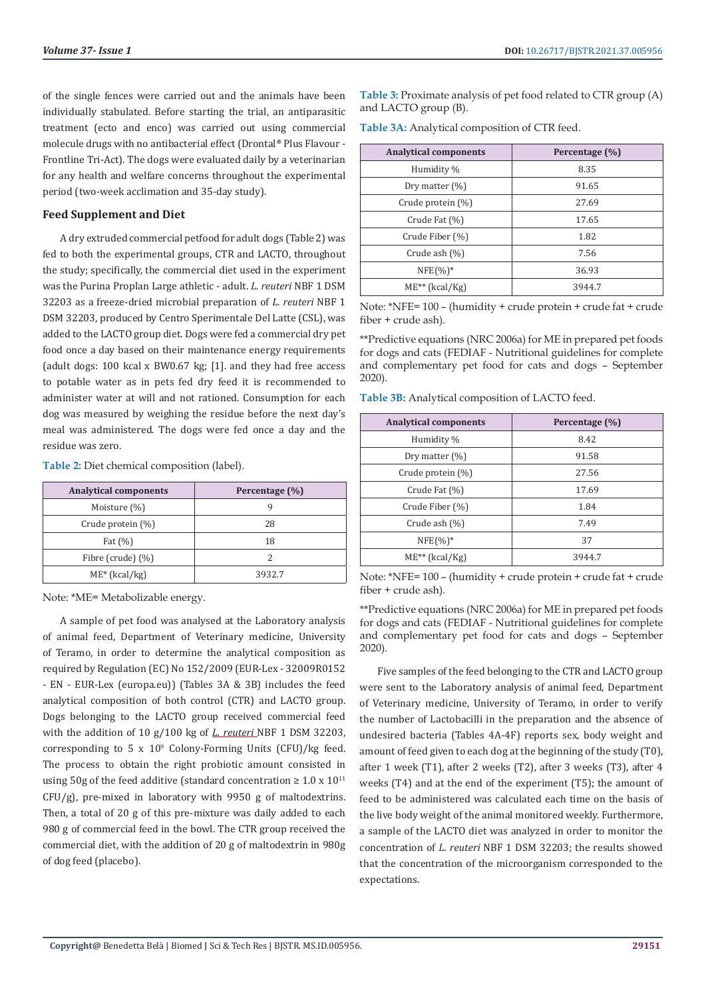of the single fences were carried out and the animals have been individually stabulated. Before starting the trial, an antiparasitic treatment (ecto and enco) was carried out using commercial molecule drugs with no antibacterial effect (Drontal® Plus Flavour - Frontline Tri-Act). The dogs were evaluated daily by a veterinarian for any health and welfare concerns throughout the experimental period (two-week acclimation and 35-day study).

#### **Feed Supplement and Diet**

A dry extruded commercial petfood for adult dogs (Table 2) was fed to both the experimental groups, CTR and LACTO, throughout the study; specifically, the commercial diet used in the experiment was the Purina Proplan Large athletic - adult. *L. reuteri* NBF 1 DSM 32203 as a freeze-dried microbial preparation of *L. reuteri* NBF 1 DSM 32203, produced by Centro Sperimentale Del Latte (CSL), was added to the LACTO group diet. Dogs were fed a commercial dry pet food once a day based on their maintenance energy requirements (adult dogs: 100 kcal x BW0.67 kg; [1]. and they had free access to potable water as in pets fed dry feed it is recommended to administer water at will and not rationed. Consumption for each dog was measured by weighing the residue before the next day's meal was administered. The dogs were fed once a day and the residue was zero.

**Table 2:** Diet chemical composition (label).

| <b>Analytical components</b> | Percentage (%) |
|------------------------------|----------------|
| Moisture (%)                 |                |
| Crude protein $(\%)$         | 28             |
| Fat $(\%)$                   | 18             |
| Fibre (crude) $(\%)$         |                |
| $ME^*$ (kcal/kg)             | 3932.7         |

Note: \*ME= Metabolizable energy.

A sample of pet food was analysed at the Laboratory analysis of animal feed, Department of Veterinary medicine, University of Teramo, in order to determine the analytical composition as required by Regulation (EC) No 152/2009 (EUR-Lex - 32009R0152 - EN - EUR-Lex (europa.eu)) (Tables 3A & 3B) includes the feed analytical composition of both control (CTR) and LACTO group. Dogs belonging to the LACTO group received commercial feed with the addition of 10 g/100 kg of *L. reuteri* NBF 1 DSM 32203, corresponding to 5  $\times$  10<sup>9</sup> Colony-Forming Units (CFU)/kg feed. The process to obtain the right probiotic amount consisted in using 50g of the feed additive (standard concentration  $\geq 1.0 \times 10^{11}$ CFU/g), pre-mixed in laboratory with 9950 g of maltodextrins. Then, a total of 20 g of this pre-mixture was daily added to each 980 g of commercial feed in the bowl. The CTR group received the commercial diet, with the addition of 20 g of maltodextrin in 980g of dog feed (placebo).

**Table 3:** Proximate analysis of pet food related to CTR group (A) and LACTO group (B).

|  | Table 3A: Analytical composition of CTR feed. |  |  |
|--|-----------------------------------------------|--|--|
|  |                                               |  |  |

| <b>Analytical components</b> | Percentage (%) |
|------------------------------|----------------|
| Humidity %                   | 8.35           |
| Dry matter $(\%)$            | 91.65          |
| Crude protein (%)            | 27.69          |
| Crude Fat (%)                | 17.65          |
| Crude Fiber (%)              | 1.82           |
| Crude ash $(\%)$             | 7.56           |
| $NFE(\%)^*$                  | 36.93          |
| $ME^{**}$ (kcal/Kg)          | 3944.7         |

Note: \*NFE= 100 – (humidity + crude protein + crude fat + crude fiber + crude ash).

\*\*Predictive equations (NRC 2006a) for ME in prepared pet foods for dogs and cats (FEDIAF - Nutritional guidelines for complete and complementary pet food for cats and dogs – September 2020).

**Table 3B:** Analytical composition of LACTO feed.

| <b>Analytical components</b> | Percentage (%) |
|------------------------------|----------------|
| Humidity %                   | 8.42           |
| Dry matter (%)               | 91.58          |
| Crude protein (%)            | 27.56          |
| Crude Fat (%)                | 17.69          |
| Crude Fiber (%)              | 1.84           |
| Crude ash (%)                | 7.49           |
| $NFE(\%)^*$                  | 37             |
| $ME^{**}$ (kcal/Kg)          | 3944.7         |

Note: \*NFE= 100 – (humidity + crude protein + crude fat + crude fiber + crude ash).

\*\*Predictive equations (NRC 2006a) for ME in prepared pet foods for dogs and cats (FEDIAF - Nutritional guidelines for complete and complementary pet food for cats and dogs – September 2020).

Five samples of the feed belonging to the CTR and LACTO group were sent to the Laboratory analysis of animal feed, Department of Veterinary medicine, University of Teramo, in order to verify the number of Lactobacilli in the preparation and the absence of undesired bacteria (Tables 4A-4F) reports sex, body weight and amount of feed given to each dog at the beginning of the study (T0), after 1 week (T1), after 2 weeks (T2), after 3 weeks (T3), after 4 weeks (T4) and at the end of the experiment (T5); the amount of feed to be administered was calculated each time on the basis of the live body weight of the animal monitored weekly. Furthermore, a sample of the LACTO diet was analyzed in order to monitor the concentration of *L. reuteri* NBF 1 DSM 32203; the results showed that the concentration of the microorganism corresponded to the expectations.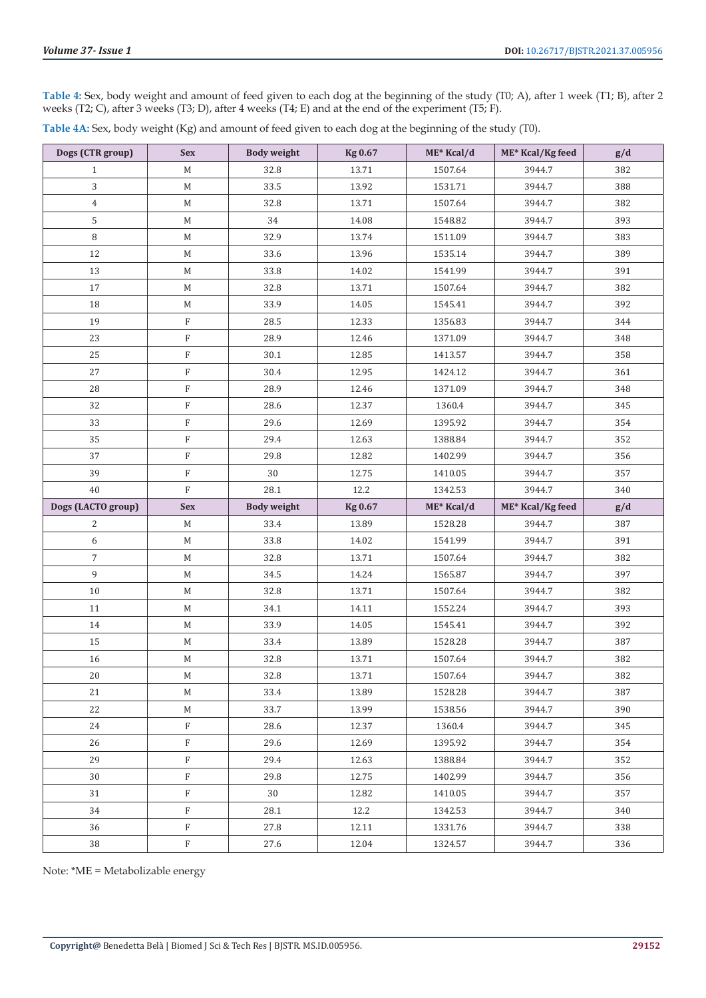**Table 4:** Sex, body weight and amount of feed given to each dog at the beginning of the study (T0; A), after 1 week (T1; B), after 2 weeks (T2; C), after 3 weeks (T3; D), after 4 weeks (T4; E) and at the end of the experiment (T5; F).

| Table 4A: Sex, body weight (Kg) and amount of feed given to each dog at the beginning of the study (T0). |  |  |
|----------------------------------------------------------------------------------------------------------|--|--|
|----------------------------------------------------------------------------------------------------------|--|--|

| Dogs (CTR group)   | <b>Sex</b>  | <b>Body weight</b> | <b>Kg 0.67</b> | ME* Kcal/d | ME* Kcal/Kg feed | g/d |
|--------------------|-------------|--------------------|----------------|------------|------------------|-----|
| $\mathbf{1}$       | M           | 32.8               | 13.71          | 1507.64    | 3944.7           | 382 |
| 3                  | $\mathbf M$ | 33.5               | 13.92          | 1531.71    | 3944.7           | 388 |
| $\overline{4}$     | $\mathbf M$ | 32.8               | 13.71          | 1507.64    | 3944.7           | 382 |
| 5                  | М           | 34                 | 14.08          | 1548.82    | 3944.7           | 393 |
| $\, 8$             | $\mathbf M$ | 32.9               | 13.74          | 1511.09    | 3944.7           | 383 |
| 12                 | М           | 33.6               | 13.96          | 1535.14    | 3944.7           | 389 |
| 13                 | $\mathbf M$ | 33.8               | 14.02          | 1541.99    | 3944.7           | 391 |
| 17                 | $\mathbf M$ | 32.8               | 13.71          | 1507.64    | 3944.7           | 382 |
| 18                 | М           | 33.9               | 14.05          | 1545.41    | 3944.7           | 392 |
| 19                 | $\mathbf F$ | 28.5               | 12.33          | 1356.83    | 3944.7           | 344 |
| 23                 | $\mathbf F$ | 28.9               | 12.46          | 1371.09    | 3944.7           | 348 |
| 25                 | $\rm F$     | 30.1               | 12.85          | 1413.57    | 3944.7           | 358 |
| 27                 | $\rm F$     | 30.4               | 12.95          | 1424.12    | 3944.7           | 361 |
| 28                 | $\rm F$     | 28.9               | 12.46          | 1371.09    | 3944.7           | 348 |
| 32                 | $\rm F$     | 28.6               | 12.37          | 1360.4     | 3944.7           | 345 |
| 33                 | $\mathbf F$ | 29.6               | 12.69          | 1395.92    | 3944.7           | 354 |
| 35                 | $\mathbf F$ | 29.4               | 12.63          | 1388.84    | 3944.7           | 352 |
| 37                 | $\mathbf F$ | 29.8               | 12.82          | 1402.99    | 3944.7           | 356 |
| 39                 | $\rm F$     | 30                 | 12.75          | 1410.05    | 3944.7           | 357 |
| 40                 | $\mathbf F$ | 28.1               | 12.2           | 1342.53    | 3944.7           | 340 |
|                    |             |                    |                |            |                  |     |
| Dogs (LACTO group) | <b>Sex</b>  | <b>Body weight</b> | <b>Kg 0.67</b> | ME* Kcal/d | ME* Kcal/Kg feed | g/d |
| 2                  | M           | 33.4               | 13.89          | 1528.28    | 3944.7           | 387 |
| 6                  | $\mathbf M$ | 33.8               | 14.02          | 1541.99    | 3944.7           | 391 |
| $\boldsymbol{7}$   | M           | 32.8               | 13.71          | 1507.64    | 3944.7           | 382 |
| 9                  | М           | 34.5               | 14.24          | 1565.87    | 3944.7           | 397 |
| 10                 | $\mathbf M$ | 32.8               | 13.71          | 1507.64    | 3944.7           | 382 |
| 11                 | M           | 34.1               | 14.11          | 1552.24    | 3944.7           | 393 |
| 14                 | М           | 33.9               | 14.05          | 1545.41    | 3944.7           | 392 |
| 15                 | $\mathbf M$ | 33.4               | 13.89          | 1528.28    | 3944.7           | 387 |
| 16                 | $\mathbf M$ | 32.8               | 13.71          | 1507.64    | 3944.7           | 382 |
| $20\,$             | $\mathbf M$ | 32.8               | 13.71          | 1507.64    | 3944.7           | 382 |
| 21                 | M           | 33.4               | 13.89          | 1528.28    | 3944.7           | 387 |
| 22                 | $\mathbf M$ | 33.7               | 13.99          | 1538.56    | 3944.7           | 390 |
| 24                 | $\rm F$     | 28.6               | 12.37          | 1360.4     | 3944.7           | 345 |
| 26                 | F           | 29.6               | 12.69          | 1395.92    | 3944.7           | 354 |
| 29                 | F           | 29.4               | 12.63          | 1388.84    | 3944.7           | 352 |
| 30                 | $_{\rm F}$  | 29.8               | 12.75          | 1402.99    | 3944.7           | 356 |
| 31                 | F           | 30                 | 12.82          | 1410.05    | 3944.7           | 357 |
| 34                 | $_{\rm F}$  | 28.1               | 12.2           | 1342.53    | 3944.7           | 340 |
| 36                 | $\mathbf F$ | 27.8               | 12.11          | 1331.76    | 3944.7           | 338 |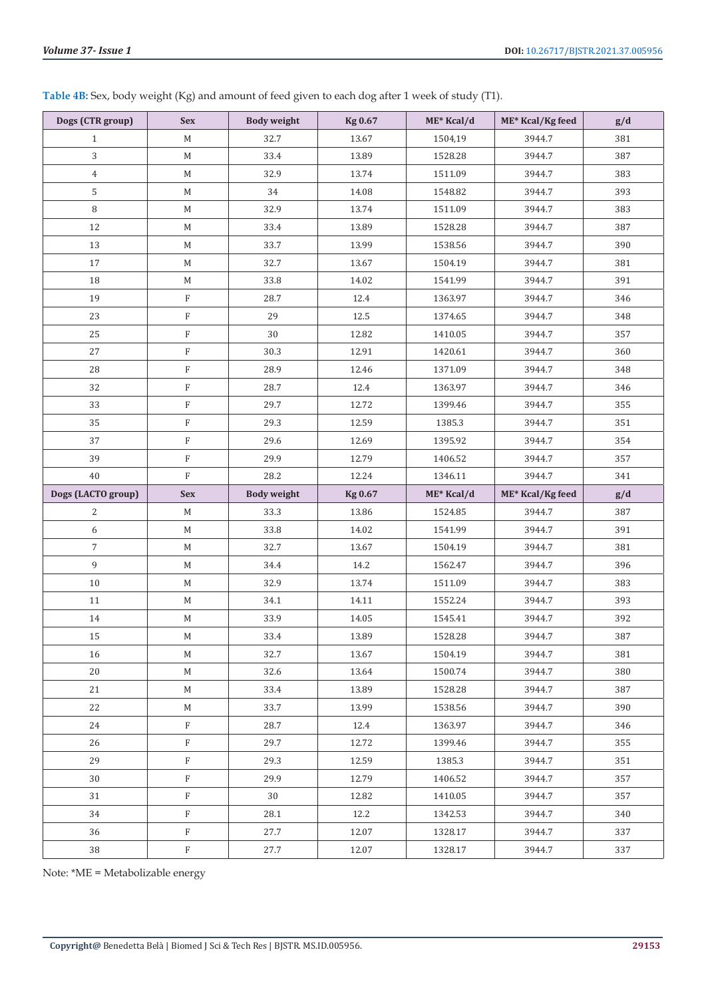**Table 4B:** Sex, body weight (Kg) and amount of feed given to each dog after 1 week of study (T1).

| Dogs (CTR group)   | <b>Sex</b>  | <b>Body weight</b> | <b>Kg 0.67</b> | $ME*$ Kcal/d | ME* Kcal/Kg feed | g/d |
|--------------------|-------------|--------------------|----------------|--------------|------------------|-----|
| $\mathbf{1}$       | M           | 32.7               | 13.67          | 1504,19      | 3944.7           | 381 |
| 3                  | M           | 33.4               | 13.89          | 1528.28      | 3944.7           | 387 |
| $\overline{4}$     | M           | 32.9               | 13.74          | 1511.09      | 3944.7           | 383 |
| 5                  | M           | 34                 | 14.08          | 1548.82      | 3944.7           | 393 |
| 8                  | M           | 32.9               | 13.74          | 1511.09      | 3944.7           | 383 |
| 12                 | М           | 33.4               | 13.89          | 1528.28      | 3944.7           | 387 |
| 13                 | M           | 33.7               | 13.99          | 1538.56      | 3944.7           | 390 |
| 17                 | M           | 32.7               | 13.67          | 1504.19      | 3944.7           | 381 |
| 18                 | M           | 33.8               | 14.02          | 1541.99      | 3944.7           | 391 |
| 19                 | F           | 28.7               | 12.4           | 1363.97      | 3944.7           | 346 |
| 23                 | F           | 29                 | 12.5           | 1374.65      | 3944.7           | 348 |
| 25                 | $\rm F$     | 30                 | 12.82          | 1410.05      | 3944.7           | 357 |
| 27                 | F           | 30.3               | 12.91          | 1420.61      | 3944.7           | 360 |
| 28                 | F           | 28.9               | 12.46          | 1371.09      | 3944.7           | 348 |
| 32                 | F           | 28.7               | 12.4           | 1363.97      | 3944.7           | 346 |
| 33                 | $\rm F$     | 29.7               | 12.72          | 1399.46      | 3944.7           | 355 |
| 35                 | $\rm F$     | 29.3               | 12.59          | 1385.3       | 3944.7           | 351 |
| 37                 | $\rm F$     | 29.6               | 12.69          | 1395.92      | 3944.7           | 354 |
| 39                 | F           | 29.9               | 12.79          | 1406.52      | 3944.7           | 357 |
| 40                 | $\rm F$     | 28.2               | 12.24          | 1346.11      | 3944.7           | 341 |
|                    |             |                    |                |              |                  |     |
| Dogs (LACTO group) | <b>Sex</b>  | <b>Body weight</b> | <b>Kg 0.67</b> | ME* Kcal/d   | ME* Kcal/Kg feed | g/d |
| 2                  | M           | 33.3               | 13.86          | 1524.85      | 3944.7           | 387 |
| 6                  | M           | 33.8               | 14.02          | 1541.99      | 3944.7           | 391 |
| $\overline{7}$     | M           | 32.7               | 13.67          | 1504.19      | 3944.7           | 381 |
| 9                  | $\mathbf M$ | 34.4               | 14.2           | 1562.47      | 3944.7           | 396 |
| $10\,$             | М           | 32.9               | 13.74          | 1511.09      | 3944.7           | 383 |
| 11                 | $M_{\odot}$ | 34.1               | 14.11          | 1552.24      | 3944.7           | 393 |
| 14                 | $\mathbb M$ | 33.9               | 14.05          | 1545.41      | 3944.7           | 392 |
| 15                 | М           | 33.4               | 13.89          | 1528.28      | 3944.7           | 387 |
| 16                 | M           | 32.7               | 13.67          | 1504.19      | 3944.7           | 381 |
| 20                 | M           | 32.6               | 13.64          | 1500.74      | 3944.7           | 380 |
| 21                 | M           | 33.4               | 13.89          | 1528.28      | 3944.7           | 387 |
| 22                 | M           | 33.7               | 13.99          | 1538.56      | 3944.7           | 390 |
| 24                 | F           | 28.7               | 12.4           | 1363.97      | 3944.7           | 346 |
| 26                 | F           | 29.7               | 12.72          | 1399.46      | 3944.7           | 355 |
| 29                 | F           | 29.3               | 12.59          | 1385.3       | 3944.7           | 351 |
| 30                 | F           | 29.9               | 12.79          | 1406.52      | 3944.7           | 357 |
| 31                 | F           | 30                 | 12.82          | 1410.05      | 3944.7           | 357 |
| 34                 | F           | 28.1               | 12.2           | 1342.53      | 3944.7           | 340 |
| 36                 | F           | 27.7               | 12.07          | 1328.17      | 3944.7           | 337 |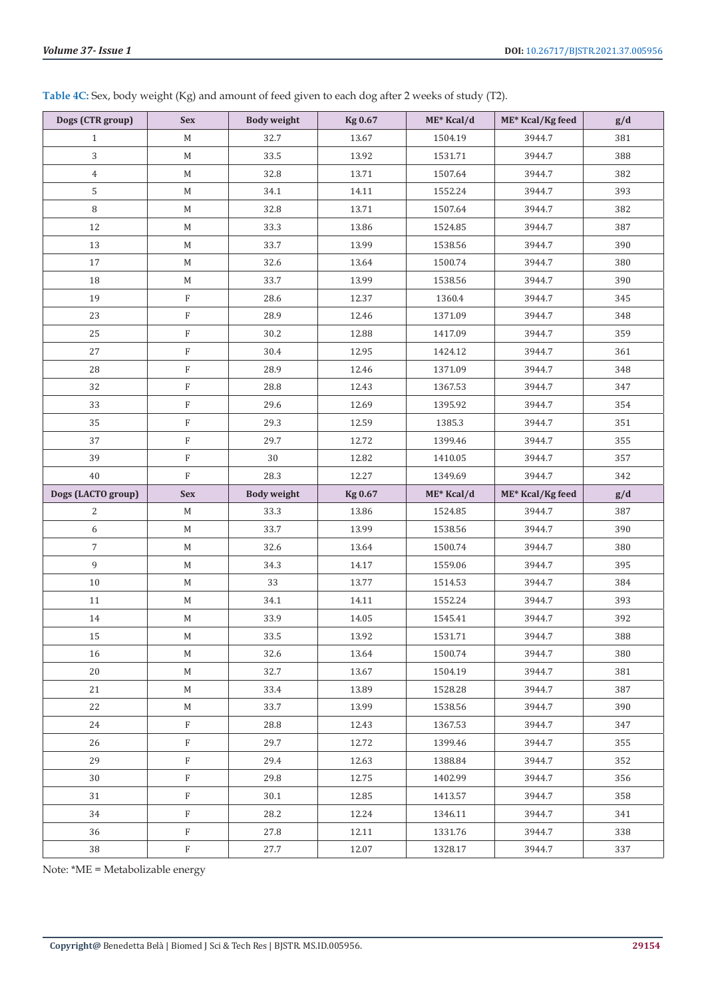| Table 4C: Sex, body weight (Kg) and amount of feed given to each dog after 2 weeks of study (T2). |  |
|---------------------------------------------------------------------------------------------------|--|
|---------------------------------------------------------------------------------------------------|--|

| Dogs (CTR group)   | <b>Sex</b>                | <b>Body weight</b> | <b>Kg 0.67</b> | ME* Kcal/d | ME* Kcal/Kg feed | g/d |
|--------------------|---------------------------|--------------------|----------------|------------|------------------|-----|
| $\mathbf{1}$       | $M_{\odot}$               | 32.7               | 13.67          | 1504.19    | 3944.7           | 381 |
| 3                  | $\mathbf M$               | 33.5               | 13.92          | 1531.71    | 3944.7           | 388 |
| $\overline{4}$     | $\mathbf M$               | 32.8               | 13.71          | 1507.64    | 3944.7           | 382 |
| $\mathsf S$        | $\mathbf M$               | 34.1               | 14.11          | 1552.24    | 3944.7           | 393 |
| $\, 8$             | $\mathbf M$               | 32.8               | 13.71          | 1507.64    | 3944.7           | 382 |
| 12                 | M                         | 33.3               | 13.86          | 1524.85    | 3944.7           | 387 |
| 13                 | $\mathbf M$               | 33.7               | 13.99          | 1538.56    | 3944.7           | 390 |
| 17                 | $\mathbf M$               | 32.6               | 13.64          | 1500.74    | 3944.7           | 380 |
| 18                 | $\mathbf M$               | 33.7               | 13.99          | 1538.56    | 3944.7           | 390 |
| 19                 | $\rm F$                   | 28.6               | 12.37          | 1360.4     | 3944.7           | 345 |
| 23                 | $\rm F$                   | 28.9               | 12.46          | 1371.09    | 3944.7           | 348 |
| 25                 | $\rm F$                   | 30.2               | 12.88          | 1417.09    | 3944.7           | 359 |
| 27                 | $\rm F$                   | 30.4               | 12.95          | 1424.12    | 3944.7           | 361 |
| 28                 | $\rm F$                   | 28.9               | 12.46          | 1371.09    | 3944.7           | 348 |
| 32                 | $\rm F$                   | 28.8               | 12.43          | 1367.53    | 3944.7           | 347 |
| 33                 | $\boldsymbol{\mathrm{F}}$ | 29.6               | 12.69          | 1395.92    | 3944.7           | 354 |
| 35                 | $\boldsymbol{\mathrm{F}}$ | 29.3               | 12.59          | 1385.3     | 3944.7           | 351 |
| 37                 | $\rm F$                   | 29.7               | 12.72          | 1399.46    | 3944.7           | 355 |
| 39                 | $\rm F$                   | 30                 | 12.82          | 1410.05    | 3944.7           | 357 |
| 40                 | $\rm F$                   | 28.3               | 12.27          | 1349.69    | 3944.7           | 342 |
|                    |                           |                    |                |            |                  |     |
| Dogs (LACTO group) | <b>Sex</b>                | <b>Body weight</b> | <b>Kg 0.67</b> | ME* Kcal/d | ME* Kcal/Kg feed | g/d |
| 2                  | $\mathbf M$               | 33.3               | 13.86          | 1524.85    | 3944.7           | 387 |
| 6                  | $\mathbf M$               | 33.7               | 13.99          | 1538.56    | 3944.7           | 390 |
| $\overline{7}$     | $\mathbf M$               | 32.6               | 13.64          | 1500.74    | 3944.7           | 380 |
| 9                  | $\mathbf M$               | 34.3               | 14.17          | 1559.06    | 3944.7           | 395 |
| $10\,$             | $\mathbf M$               | 33                 | 13.77          | 1514.53    | 3944.7           | 384 |
| 11                 | $\mathbf M$               | 34.1               | 14.11          | 1552.24    | 3944.7           | 393 |
| 14                 | $\mathbf M$               | 33.9               | 14.05          | 1545.41    | 3944.7           | 392 |
| 15                 | M                         | 33.5               | 13.92          | 1531.71    | 3944.7           | 388 |
| 16                 | M                         | 32.6               | 13.64          | 1500.74    | 3944.7           | 380 |
| 20                 | M                         | 32.7               | 13.67          | 1504.19    | 3944.7           | 381 |
| 21                 | M                         | 33.4               | 13.89          | 1528.28    | 3944.7           | 387 |
| 22                 | M                         | 33.7               | 13.99          | 1538.56    | 3944.7           | 390 |
| 24                 | $\mathbf{F}$              | 28.8               | 12.43          | 1367.53    | 3944.7           | 347 |
| 26                 | $\rm F$                   | 29.7               | 12.72          | 1399.46    | 3944.7           | 355 |
| 29                 | F                         | 29.4               | 12.63          | 1388.84    | 3944.7           | 352 |
| 30                 | $\rm F$                   | 29.8               | 12.75          | 1402.99    | 3944.7           | 356 |
| 31                 | F                         | 30.1               | 12.85          | 1413.57    | 3944.7           | 358 |
| 34                 | $\mathbf{F}$              | 28.2               | 12.24          | 1346.11    | 3944.7           | 341 |
| 36                 | F                         | 27.8               | 12.11          | 1331.76    | 3944.7           | 338 |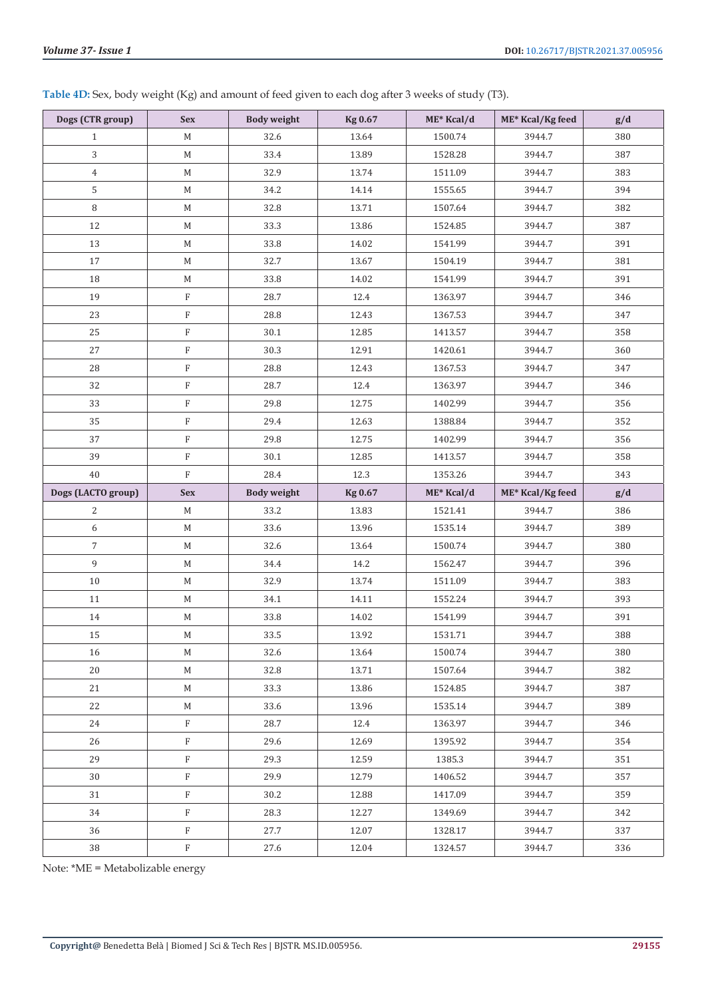**Table 4D:** Sex, body weight (Kg) and amount of feed given to each dog after 3 weeks of study (T3).

| Dogs (CTR group)   | <b>Sex</b>  | <b>Body weight</b> | <b>Kg 0.67</b> | ME* Kcal/d | ME* Kcal/Kg feed | g/d |
|--------------------|-------------|--------------------|----------------|------------|------------------|-----|
| $\mathbf{1}$       | M           | 32.6               | 13.64          | 1500.74    | 3944.7           | 380 |
| 3                  | М           | 33.4               | 13.89          | 1528.28    | 3944.7           | 387 |
| $\,4\,$            | M           | 32.9               | 13.74          | 1511.09    | 3944.7           | 383 |
| 5                  | М           | 34.2               | 14.14          | 1555.65    | 3944.7           | 394 |
| 8                  | $\mathbf M$ | 32.8               | 13.71          | 1507.64    | 3944.7           | 382 |
| 12                 | М           | 33.3               | 13.86          | 1524.85    | 3944.7           | 387 |
| 13                 | М           | 33.8               | 14.02          | 1541.99    | 3944.7           | 391 |
| 17                 | $\mathbf M$ | 32.7               | 13.67          | 1504.19    | 3944.7           | 381 |
| 18                 | M           | 33.8               | 14.02          | 1541.99    | 3944.7           | 391 |
| 19                 | $\rm F$     | 28.7               | 12.4           | 1363.97    | 3944.7           | 346 |
| 23                 | $\rm F$     | 28.8               | 12.43          | 1367.53    | 3944.7           | 347 |
| 25                 | $\rm F$     | 30.1               | 12.85          | 1413.57    | 3944.7           | 358 |
| 27                 | $\mathbf F$ | 30.3               | 12.91          | 1420.61    | 3944.7           | 360 |
| 28                 | $\rm F$     | 28.8               | 12.43          | 1367.53    | 3944.7           | 347 |
| 32                 | $\rm F$     | 28.7               | 12.4           | 1363.97    | 3944.7           | 346 |
| 33                 | $\rm F$     | 29.8               | 12.75          | 1402.99    | 3944.7           | 356 |
| 35                 | $\rm F$     | 29.4               | 12.63          | 1388.84    | 3944.7           | 352 |
| 37                 | $\rm F$     | 29.8               | 12.75          | 1402.99    | 3944.7           | 356 |
| 39                 | $\rm F$     | 30.1               | 12.85          | 1413.57    | 3944.7           | 358 |
| 40                 | $\rm F$     | 28.4               | 12.3           | 1353.26    | 3944.7           | 343 |
|                    |             |                    |                |            |                  |     |
| Dogs (LACTO group) | <b>Sex</b>  | <b>Body weight</b> | <b>Kg 0.67</b> | ME* Kcal/d | ME* Kcal/Kg feed | g/d |
| 2                  | $\mathbf M$ | 33.2               | 13.83          | 1521.41    | 3944.7           | 386 |
| 6                  | M           | 33.6               | 13.96          | 1535.14    | 3944.7           | 389 |
| $\overline{7}$     | M           | 32.6               | 13.64          | 1500.74    | 3944.7           | 380 |
| 9                  | M           | 34.4               | 14.2           | 1562.47    | 3944.7           | 396 |
| $10\,$             | M           | 32.9               | 13.74          | 1511.09    | 3944.7           | 383 |
| 11                 | $M_{\odot}$ | 34.1               | 14.11          | 1552.24    | 3944.7           | 393 |
| 14                 | $\mathbf M$ | 33.8               | 14.02          | 1541.99    | 3944.7           | 391 |
| 15                 | $\mathbf M$ | 33.5               | 13.92          | 1531.71    | 3944.7           | 388 |
| 16                 | M           | 32.6               | 13.64          | 1500.74    | 3944.7           | 380 |
| 20                 | $M_{\odot}$ | 32.8               | 13.71          | 1507.64    | 3944.7           | 382 |
| 21                 | M           | 33.3               | 13.86          | 1524.85    | 3944.7           | 387 |
| 22                 | M           | 33.6               | 13.96          | 1535.14    | 3944.7           | 389 |
| 24                 | $\rm F$     | 28.7               | 12.4           | 1363.97    | 3944.7           | 346 |
| 26                 | $\rm F$     | 29.6               | 12.69          | 1395.92    | 3944.7           | 354 |
| 29                 | $\rm F$     | 29.3               | 12.59          | 1385.3     | 3944.7           | 351 |
| 30                 | $\rm F$     | 29.9               | 12.79          | 1406.52    | 3944.7           | 357 |
| 31                 | $\rm F$     | 30.2               | 12.88          | 1417.09    | 3944.7           | 359 |
| 34                 | $\rm F$     | 28.3               | 12.27          | 1349.69    | 3944.7           | 342 |
| 36                 | $\rm F$     | 27.7               | 12.07          | 1328.17    | 3944.7           | 337 |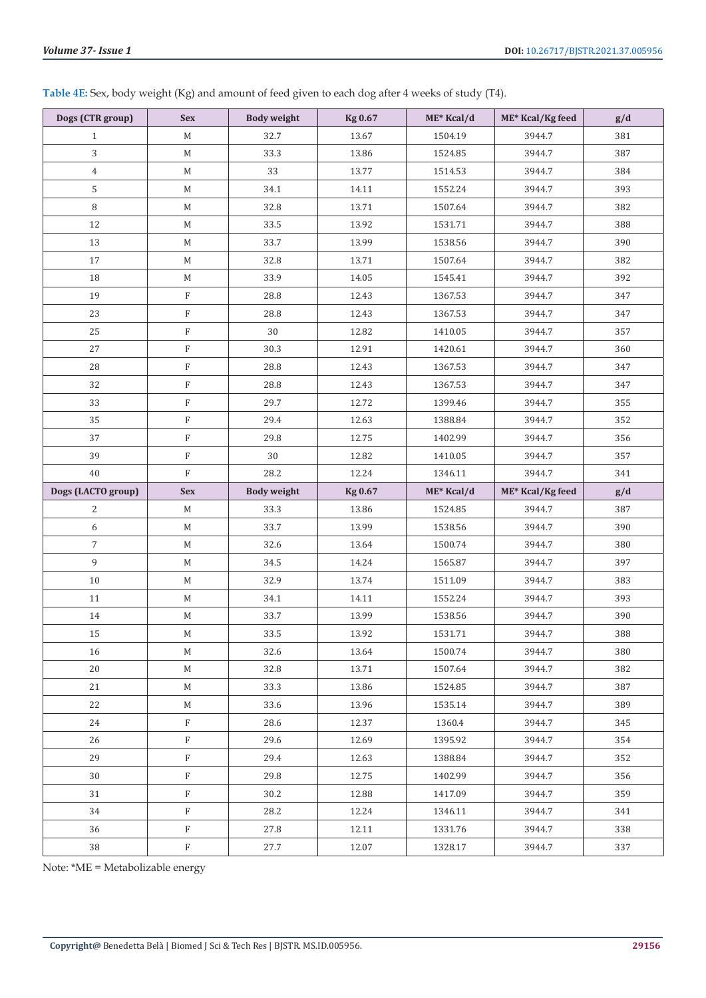**Table 4E:** Sex, body weight (Kg) and amount of feed given to each dog after 4 weeks of study (T4).

| Dogs (CTR group)   | <b>Sex</b>   | <b>Body weight</b> | <b>Kg 0.67</b> | ME* Kcal/d | ME* Kcal/Kg feed | g/d |
|--------------------|--------------|--------------------|----------------|------------|------------------|-----|
| $\mathbf{1}$       | $M_{\odot}$  | 32.7               | 13.67          | 1504.19    | 3944.7           | 381 |
| 3                  | $\mathbf M$  | 33.3               | 13.86          | 1524.85    | 3944.7           | 387 |
| $\overline{4}$     | $\mathbf M$  | 33                 | 13.77          | 1514.53    | 3944.7           | 384 |
| 5                  | $\mathbf M$  | 34.1               | 14.11          | 1552.24    | 3944.7           | 393 |
| $\, 8$             | $\mathbf M$  | 32.8               | 13.71          | 1507.64    | 3944.7           | 382 |
| 12                 | $\mathbf M$  | 33.5               | 13.92          | 1531.71    | 3944.7           | 388 |
| 13                 | $M_{\odot}$  | 33.7               | 13.99          | 1538.56    | 3944.7           | 390 |
| 17                 | $\mathbf M$  | 32.8               | 13.71          | 1507.64    | 3944.7           | 382 |
| 18                 | $M_{\odot}$  | 33.9               | 14.05          | 1545.41    | 3944.7           | 392 |
| 19                 | $\rm F$      | 28.8               | 12.43          | 1367.53    | 3944.7           | 347 |
| 23                 | $\rm F$      | 28.8               | 12.43          | 1367.53    | 3944.7           | 347 |
| 25                 | $\rm F$      | 30                 | 12.82          | 1410.05    | 3944.7           | 357 |
| 27                 | $\rm F$      | 30.3               | 12.91          | 1420.61    | 3944.7           | 360 |
| 28                 | $\rm F$      | 28.8               | 12.43          | 1367.53    | 3944.7           | 347 |
| 32                 | $\rm F$      | 28.8               | 12.43          | 1367.53    | 3944.7           | 347 |
| 33                 | $\rm F$      | 29.7               | 12.72          | 1399.46    | 3944.7           | 355 |
| 35                 | $\rm F$      | 29.4               | 12.63          | 1388.84    | 3944.7           | 352 |
| 37                 | $\rm F$      | 29.8               | 12.75          | 1402.99    | 3944.7           | 356 |
| 39                 | $\rm F$      | 30                 | 12.82          | 1410.05    | 3944.7           | 357 |
| 40                 | $\rm F$      | 28.2               | 12.24          | 1346.11    | 3944.7           | 341 |
| Dogs (LACTO group) | <b>Sex</b>   | <b>Body weight</b> | <b>Kg 0.67</b> | ME* Kcal/d | ME* Kcal/Kg feed | g/d |
|                    |              |                    |                |            |                  |     |
| 2                  | M            | 33.3               | 13.86          | 1524.85    | 3944.7           | 387 |
| 6                  | M            | 33.7               | 13.99          | 1538.56    | 3944.7           | 390 |
| $\overline{7}$     | $\mathbf M$  | 32.6               | 13.64          | 1500.74    | 3944.7           | 380 |
| 9                  | $M_{\odot}$  | 34.5               | 14.24          | 1565.87    | 3944.7           | 397 |
| 10                 | M            | 32.9               | 13.74          | 1511.09    | 3944.7           | 383 |
| 11                 | M            | 34.1               | 14.11          | 1552.24    | 3944.7           | 393 |
| 14                 | $\mathbf M$  | 33.7               | 13.99          | 1538.56    | 3944.7           | 390 |
| $15\,$             | $\mathbf M$  | 33.5               | 13.92          | 1531.71    | 3944.7           | 388 |
| 16                 | M            | 32.6               | 13.64          | 1500.74    | 3944.7           | 380 |
| 20                 | M            | 32.8               | 13.71          | 1507.64    | 3944.7           | 382 |
| 21                 | M            | 33.3               | 13.86          | 1524.85    | 3944.7           | 387 |
| 22                 | M            | 33.6               | 13.96          | 1535.14    | 3944.7           | 389 |
| 24                 | $\rm F$      | 28.6               | 12.37          | 1360.4     | 3944.7           | 345 |
| 26                 | $\rm F$      | 29.6               | 12.69          | 1395.92    | 3944.7           | 354 |
| 29                 | $\rm F$      | 29.4               | 12.63          | 1388.84    | 3944.7           | 352 |
| 30                 | $\rm F$      | 29.8               | 12.75          | 1402.99    | 3944.7           | 356 |
| 31                 | $\rm F$      | 30.2               | 12.88          | 1417.09    | 3944.7           | 359 |
| 34                 | $\rm F$      | 28.2               | 12.24          | 1346.11    | 3944.7           | 341 |
| 36                 | $\, {\rm F}$ | 27.8               | 12.11          | 1331.76    | 3944.7           | 338 |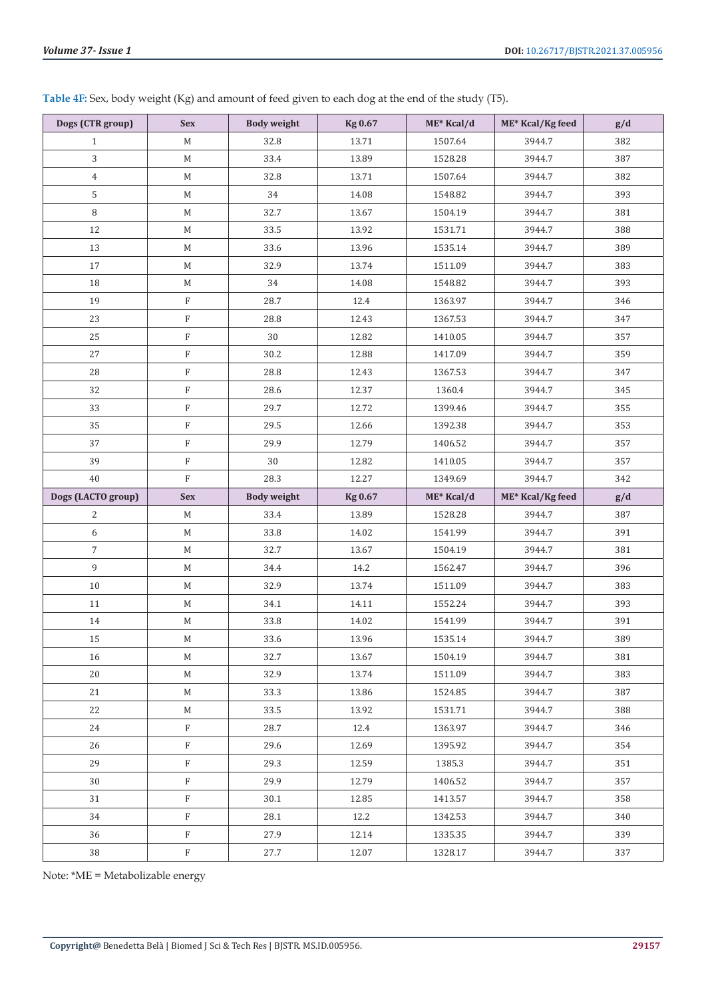| Dogs (CTR group)   | <b>Sex</b>                | <b>Body weight</b> | <b>Kg 0.67</b> | $ME*$ Kcal/d | ME* Kcal/Kg feed | g/d |
|--------------------|---------------------------|--------------------|----------------|--------------|------------------|-----|
| $\mathbf{1}$       | M                         | 32.8               | 13.71          | 1507.64      | 3944.7           | 382 |
| 3                  | М                         | 33.4               | 13.89          | 1528.28      | 3944.7           | 387 |
| $\overline{4}$     | М                         | 32.8               | 13.71          | 1507.64      | 3944.7           | 382 |
| 5                  | М                         | 34                 | 14.08          | 1548.82      | 3944.7           | 393 |
| $\, 8$             | М                         | 32.7               | 13.67          | 1504.19      | 3944.7           | 381 |
| 12                 | М                         | 33.5               | 13.92          | 1531.71      | 3944.7           | 388 |
| 13                 | М                         | 33.6               | 13.96          | 1535.14      | 3944.7           | 389 |
| 17                 | М                         | 32.9               | 13.74          | 1511.09      | 3944.7           | 383 |
| 18                 | $\mathbf M$               | 34                 | 14.08          | 1548.82      | 3944.7           | 393 |
| 19                 | $_{\rm F}$                | 28.7               | 12.4           | 1363.97      | 3944.7           | 346 |
| 23                 | $\mathbf F$               | 28.8               | 12.43          | 1367.53      | 3944.7           | 347 |
| 25                 | $_{\rm F}$                | 30                 | 12.82          | 1410.05      | 3944.7           | 357 |
| 27                 | $\boldsymbol{\mathrm{F}}$ | 30.2               | 12.88          | 1417.09      | 3944.7           | 359 |
| 28                 | $\mathbf F$               | 28.8               | 12.43          | 1367.53      | 3944.7           | 347 |
| 32                 | $\mathbf F$               | 28.6               | 12.37          | 1360.4       | 3944.7           | 345 |
| 33                 | $\rm F$                   | 29.7               | 12.72          | 1399.46      | 3944.7           | 355 |
| 35                 | $\rm F$                   | 29.5               | 12.66          | 1392.38      | 3944.7           | 353 |
| 37                 | $\mathbf F$               | 29.9               | 12.79          | 1406.52      | 3944.7           | 357 |
| 39                 | $\mathbf F$               | 30                 | 12.82          | 1410.05      | 3944.7           | 357 |
| 40                 | $\rm F$                   | 28.3               | 12.27          | 1349.69      | 3944.7           | 342 |
|                    |                           |                    |                |              |                  |     |
| Dogs (LACTO group) | <b>Sex</b>                | <b>Body weight</b> | <b>Kg 0.67</b> | ME* Kcal/d   | ME* Kcal/Kg feed | g/d |
| $\overline{c}$     | M                         | 33.4               | 13.89          | 1528.28      | 3944.7           | 387 |
| 6                  | $\mathbf M$               | 33.8               | 14.02          | 1541.99      | 3944.7           | 391 |
| $\overline{7}$     | $\mathbf M$               | 32.7               | 13.67          | 1504.19      | 3944.7           | 381 |
| 9                  | М                         | 34.4               | 14.2           | 1562.47      | 3944.7           | 396 |
| $10\,$             | М                         | 32.9               | 13.74          | 1511.09      | 3944.7           | 383 |
| 11                 | М                         | 34.1               | 14.11          | 1552.24      | 3944.7           | 393 |
| 14                 | M                         | 33.8               | 14.02          | 1541.99      | 3944.7           | 391 |
| 15                 | M                         | 33.6               | 13.96          | 1535.14      | 3944.7           | 389 |
| 16                 | M                         | 32.7               | 13.67          | 1504.19      | 3944.7           | 381 |
| 20                 | М                         | 32.9               | 13.74          | 1511.09      | 3944.7           | 383 |
| 21                 | М                         | 33.3               | 13.86          | 1524.85      | 3944.7           | 387 |
| 22                 | М                         | 33.5               | 13.92          | 1531.71      | 3944.7           | 388 |
| 24                 | $\rm F$                   | 28.7               | 12.4           | 1363.97      | 3944.7           | 346 |
| 26                 | $_{\rm F}$                | 29.6               | 12.69          | 1395.92      | 3944.7           | 354 |
| 29                 | $\rm F$                   | 29.3               | 12.59          | 1385.3       | 3944.7           | 351 |
| 30                 | $_{\rm F}$                | 29.9               | 12.79          | 1406.52      | 3944.7           | 357 |
| 31                 | $_{\rm F}$                | 30.1               | 12.85          | 1413.57      | 3944.7           | 358 |
| 34                 | $\rm F$                   | 28.1               | 12.2           | 1342.53      | 3944.7           | 340 |
| 36                 | $_{\rm F}$                | 27.9               | 12.14          | 1335.35      | 3944.7           | 339 |

**Table 4F:** Sex, body weight (Kg) and amount of feed given to each dog at the end of the study (T5).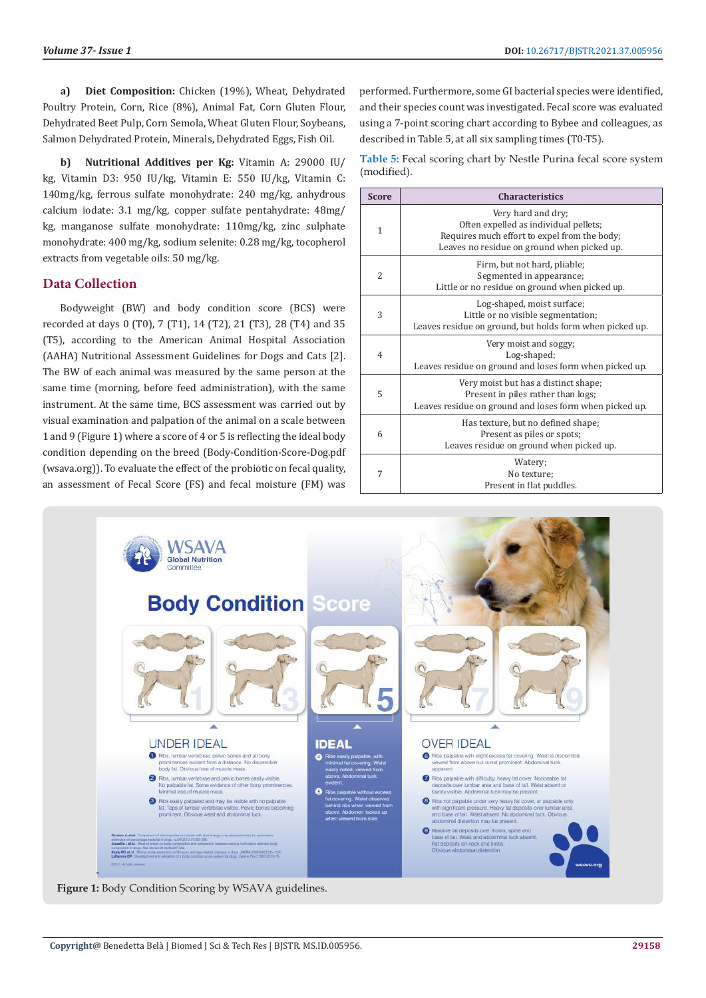**a) Diet Composition:** Chicken (19%), Wheat, Dehydrated Poultry Protein, Corn, Rice (8%), Animal Fat, Corn Gluten Flour, Dehydrated Beet Pulp, Corn Semola, Wheat Gluten Flour, Soybeans, Salmon Dehydrated Protein, Minerals, Dehydrated Eggs, Fish Oil.

**b) Nutritional Additives per Kg:** Vitamin A: 29000 IU/ kg, Vitamin D3: 950 IU/kg, Vitamin E: 550 IU/kg, Vitamin C: 140mg/kg, ferrous sulfate monohydrate: 240 mg/kg, anhydrous calcium iodate: 3.1 mg/kg, copper sulfate pentahydrate: 48mg/ kg, manganose sulfate monohydrate: 110mg/kg, zinc sulphate monohydrate: 400 mg/kg, sodium selenite: 0.28 mg/kg, tocopherol extracts from vegetable oils: 50 mg/kg.

# **Data Collection**

Bodyweight (BW) and body condition score (BCS) were recorded at days 0 (T0), 7 (T1), 14 (T2), 21 (T3), 28 (T4) and 35 (T5), according to the American Animal Hospital Association (AAHA) Nutritional Assessment Guidelines for Dogs and Cats [2]. The BW of each animal was measured by the same person at the same time (morning, before feed administration), with the same instrument. At the same time, BCS assessment was carried out by visual examination and palpation of the animal on a scale between 1 and 9 (Figure 1) where a score of 4 or 5 is reflecting the ideal body condition depending on the breed (Body-Condition-Score-Dog.pdf (wsava.org)). To evaluate the effect of the probiotic on fecal quality, an assessment of Fecal Score (FS) and fecal moisture (FM) was

performed. Furthermore, some GI bacterial species were identified, and their species count was investigated. Fecal score was evaluated using a 7-point scoring chart according to Bybee and colleagues, as described in Table 5, at all six sampling times (T0-T5).

**Table 5:** Fecal scoring chart by Nestle Purina fecal score system (modified).

| <b>Score</b>   | <b>Characteristics</b>                                                                                                                                     |
|----------------|------------------------------------------------------------------------------------------------------------------------------------------------------------|
| $\mathbf{1}$   | Very hard and dry:<br>Often expelled as individual pellets;<br>Requires much effort to expel from the body;<br>Leaves no residue on ground when picked up. |
| $\overline{2}$ | Firm, but not hard, pliable;<br>Segmented in appearance;<br>Little or no residue on ground when picked up.                                                 |
| 3              | Log-shaped, moist surface;<br>Little or no visible segmentation;<br>Leaves residue on ground, but holds form when picked up.                               |
| $\overline{4}$ | Very moist and soggy;<br>Log-shaped;<br>Leaves residue on ground and loses form when picked up.                                                            |
| 5              | Very moist but has a distinct shape;<br>Present in piles rather than logs;<br>Leaves residue on ground and loses form when picked up.                      |
| 6              | Has texture, but no defined shape;<br>Present as piles or spots;<br>Leaves residue on ground when picked up.                                               |
| 7              | Watery;<br>No texture:<br>Present in flat puddles.                                                                                                         |



**Figure 1:** Body Condition Scoring by WSAVA guidelines.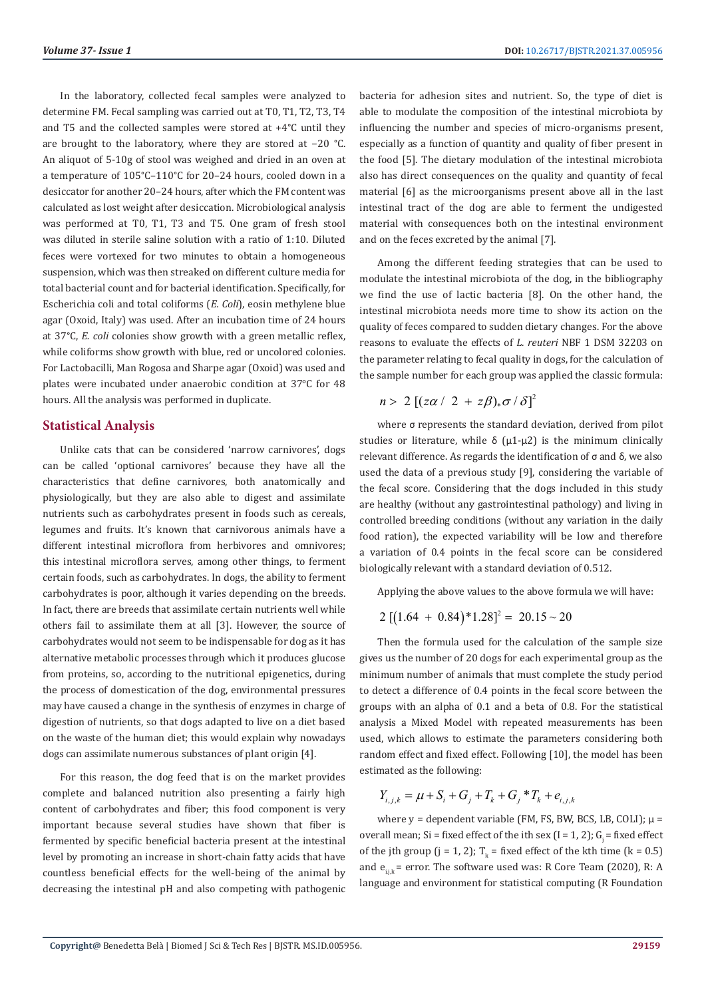In the laboratory, collected fecal samples were analyzed to determine FM. Fecal sampling was carried out at T0, T1, T2, T3, T4 and T5 and the collected samples were stored at +4°C until they are brought to the laboratory, where they are stored at −20 °C. An aliquot of 5-10g of stool was weighed and dried in an oven at a temperature of 105°C–110°C for 20–24 hours, cooled down in a desiccator for another 20–24 hours, after which the FM content was calculated as lost weight after desiccation. Microbiological analysis was performed at T0, T1, T3 and T5. One gram of fresh stool was diluted in sterile saline solution with a ratio of 1:10. Diluted feces were vortexed for two minutes to obtain a homogeneous suspension, which was then streaked on different culture media for total bacterial count and for bacterial identification. Specifically, for Escherichia coli and total coliforms (*E. Coli*), eosin methylene blue agar (Oxoid, Italy) was used. After an incubation time of 24 hours at 37°C, *E. coli* colonies show growth with a green metallic reflex, while coliforms show growth with blue, red or uncolored colonies. For Lactobacilli, Man Rogosa and Sharpe agar (Oxoid) was used and plates were incubated under anaerobic condition at 37°C for 48 hours. All the analysis was performed in duplicate.

#### **Statistical Analysis**

Unlike cats that can be considered 'narrow carnivores', dogs can be called 'optional carnivores' because they have all the characteristics that define carnivores, both anatomically and physiologically, but they are also able to digest and assimilate nutrients such as carbohydrates present in foods such as cereals, legumes and fruits. It's known that carnivorous animals have a different intestinal microflora from herbivores and omnivores; this intestinal microflora serves, among other things, to ferment certain foods, such as carbohydrates. In dogs, the ability to ferment carbohydrates is poor, although it varies depending on the breeds. In fact, there are breeds that assimilate certain nutrients well while others fail to assimilate them at all [3]. However, the source of carbohydrates would not seem to be indispensable for dog as it has alternative metabolic processes through which it produces glucose from proteins, so, according to the nutritional epigenetics, during the process of domestication of the dog, environmental pressures may have caused a change in the synthesis of enzymes in charge of digestion of nutrients, so that dogs adapted to live on a diet based on the waste of the human diet; this would explain why nowadays dogs can assimilate numerous substances of plant origin [4].

For this reason, the dog feed that is on the market provides complete and balanced nutrition also presenting a fairly high content of carbohydrates and fiber; this food component is very important because several studies have shown that fiber is fermented by specific beneficial bacteria present at the intestinal level by promoting an increase in short-chain fatty acids that have countless beneficial effects for the well-being of the animal by decreasing the intestinal pH and also competing with pathogenic

bacteria for adhesion sites and nutrient. So, the type of diet is able to modulate the composition of the intestinal microbiota by influencing the number and species of micro-organisms present, especially as a function of quantity and quality of fiber present in the food [5]. The dietary modulation of the intestinal microbiota also has direct consequences on the quality and quantity of fecal material [6] as the microorganisms present above all in the last intestinal tract of the dog are able to ferment the undigested material with consequences both on the intestinal environment and on the feces excreted by the animal [7].

Among the different feeding strategies that can be used to modulate the intestinal microbiota of the dog, in the bibliography we find the use of lactic bacteria [8]. On the other hand, the intestinal microbiota needs more time to show its action on the quality of feces compared to sudden dietary changes. For the above reasons to evaluate the effects of *L. reuteri* NBF 1 DSM 32203 on the parameter relating to fecal quality in dogs, for the calculation of the sample number for each group was applied the classic formula:

$$
n > 2 [(z\alpha / 2 + z\beta)_{*} \sigma / \delta]^{2}
$$

where σ represents the standard deviation, derived from pilot studies or literature, while  $\delta$  ( $\mu$ 1- $\mu$ 2) is the minimum clinically relevant difference. As regards the identification of σ and δ, we also used the data of a previous study [9], considering the variable of the fecal score. Considering that the dogs included in this study are healthy (without any gastrointestinal pathology) and living in controlled breeding conditions (without any variation in the daily food ration), the expected variability will be low and therefore a variation of 0.4 points in the fecal score can be considered biologically relevant with a standard deviation of 0.512.

Applying the above values to the above formula we will have:

$$
2[(1.64 + 0.84)*1.28]^2 = 20.15 \sim 20
$$

Then the formula used for the calculation of the sample size gives us the number of 20 dogs for each experimental group as the minimum number of animals that must complete the study period to detect a difference of 0.4 points in the fecal score between the groups with an alpha of 0.1 and a beta of 0.8. For the statistical analysis a Mixed Model with repeated measurements has been used, which allows to estimate the parameters considering both random effect and fixed effect. Following [10], the model has been estimated as the following:

$$
Y_{i,j,k} = \mu + S_i + G_j + T_k + G_j * T_k + e_{i,j,k}
$$

where  $y =$  dependent variable (FM, FS, BW, BCS, LB, COLI);  $\mu =$ overall mean; Si = fixed effect of the ith sex (I = 1, 2);  $G_i$  = fixed effect of the jth group  $(j = 1, 2)$ ;  $T_k$  = fixed effect of the kth time  $(k = 0.5)$ and  $e_{ijk}$  = error. The software used was: R Core Team (2020), R: A language and environment for statistical computing (R Foundation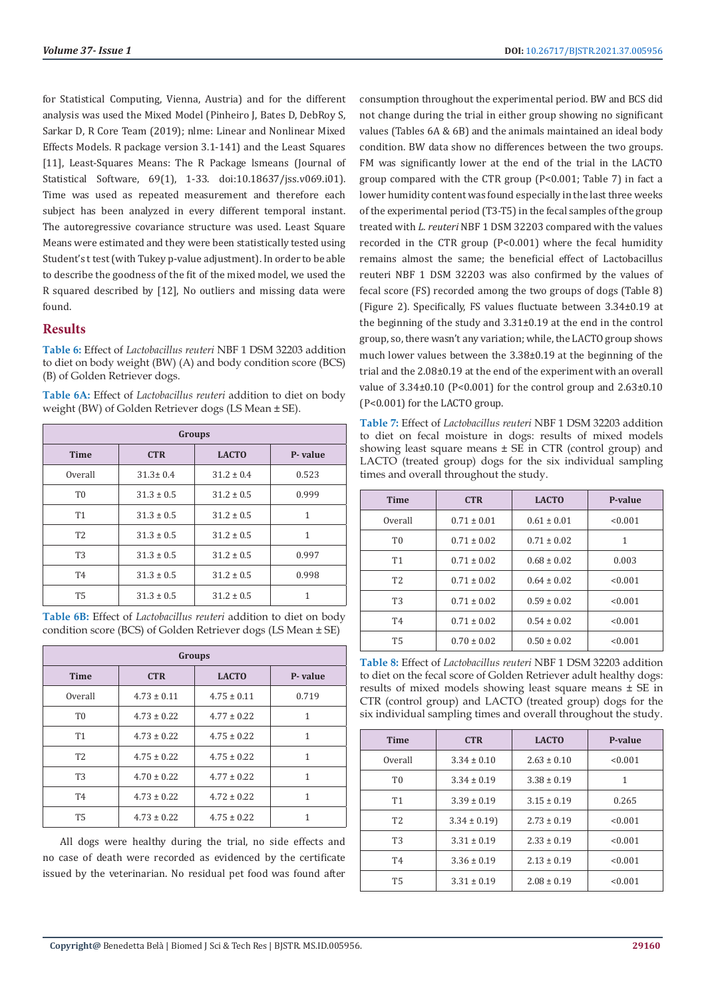for Statistical Computing, Vienna, Austria) and for the different analysis was used the Mixed Model (Pinheiro J, Bates D, DebRoy S, Sarkar D, R Core Team (2019); nlme: Linear and Nonlinear Mixed Effects Models. R package version 3.1-141) and the Least Squares [11], Least-Squares Means: The R Package lsmeans (Journal of Statistical Software, 69(1), 1-33. doi:10.18637/jss.v069.i01). Time was used as repeated measurement and therefore each subject has been analyzed in every different temporal instant. The autoregressive covariance structure was used. Least Square Means were estimated and they were been statistically tested using Student's t test (with Tukey p-value adjustment). In order to be able to describe the goodness of the fit of the mixed model, we used the R squared described by [12], No outliers and missing data were found.

# **Results**

**Table 6:** Effect of *Lactobacillus reuteri* NBF 1 DSM 32203 addition to diet on body weight (BW) (A) and body condition score (BCS) (B) of Golden Retriever dogs.

**Table 6A:** Effect of *Lactobacillus reuteri* addition to diet on body weight (BW) of Golden Retriever dogs (LS Mean ± SE).

| Groups         |                |                |         |  |  |
|----------------|----------------|----------------|---------|--|--|
| <b>Time</b>    | <b>CTR</b>     | <b>LACTO</b>   | P-value |  |  |
| Overall        | $31.3 \pm 0.4$ | $31.2 \pm 0.4$ | 0.523   |  |  |
| T <sub>0</sub> | $31.3 \pm 0.5$ | $31.2 \pm 0.5$ | 0.999   |  |  |
| <b>T1</b>      | $31.3 \pm 0.5$ | $31.2 \pm 0.5$ | 1       |  |  |
| T <sub>2</sub> | $31.3 \pm 0.5$ | $31.2 \pm 0.5$ | 1       |  |  |
| T <sub>3</sub> | $31.3 \pm 0.5$ | $31.2 \pm 0.5$ | 0.997   |  |  |
| <b>T4</b>      | $31.3 \pm 0.5$ | $31.2 \pm 0.5$ | 0.998   |  |  |
| T <sub>5</sub> | $31.3 \pm 0.5$ | $31.2 \pm 0.5$ |         |  |  |

**Table 6B:** Effect of *Lactobacillus reuteri* addition to diet on body condition score (BCS) of Golden Retriever dogs (LS Mean ± SE)

| Groups         |                 |                 |         |  |  |
|----------------|-----------------|-----------------|---------|--|--|
| <b>Time</b>    | <b>CTR</b>      | <b>LACTO</b>    | P-value |  |  |
| Overall        | $4.73 \pm 0.11$ | $4.75 \pm 0.11$ | 0.719   |  |  |
| T <sub>0</sub> | $4.73 \pm 0.22$ | $4.77 \pm 0.22$ | 1       |  |  |
| <b>T1</b>      | $4.73 \pm 0.22$ | $4.75 \pm 0.22$ | 1       |  |  |
| T <sub>2</sub> | $4.75 \pm 0.22$ | $4.75 \pm 0.22$ | 1       |  |  |
| T <sub>3</sub> | $4.70 \pm 0.22$ | $4.77 \pm 0.22$ | 1       |  |  |
| T <sub>4</sub> | $4.73 \pm 0.22$ | $4.72 \pm 0.22$ | 1       |  |  |
| <b>T5</b>      | $4.73 \pm 0.22$ | $4.75 \pm 0.22$ |         |  |  |

All dogs were healthy during the trial, no side effects and no case of death were recorded as evidenced by the certificate issued by the veterinarian. No residual pet food was found after consumption throughout the experimental period. BW and BCS did not change during the trial in either group showing no significant values (Tables 6A & 6B) and the animals maintained an ideal body condition. BW data show no differences between the two groups. FM was significantly lower at the end of the trial in the LACTO group compared with the CTR group (P<0.001; Table 7) in fact a lower humidity content was found especially in the last three weeks of the experimental period (T3-T5) in the fecal samples of the group treated with *L. reuteri* NBF 1 DSM 32203 compared with the values recorded in the CTR group (P<0.001) where the fecal humidity remains almost the same; the beneficial effect of Lactobacillus reuteri NBF 1 DSM 32203 was also confirmed by the values of fecal score (FS) recorded among the two groups of dogs (Table 8) (Figure 2). Specifically, FS values fluctuate between 3.34±0.19 at the beginning of the study and 3.31±0.19 at the end in the control group, so, there wasn't any variation; while, the LACTO group shows much lower values between the 3.38±0.19 at the beginning of the trial and the 2.08±0.19 at the end of the experiment with an overall value of  $3.34\pm0.10$  (P<0.001) for the control group and  $2.63\pm0.10$ (P<0.001) for the LACTO group.

**Table 7:** Effect of *Lactobacillus reuteri* NBF 1 DSM 32203 addition to diet on fecal moisture in dogs: results of mixed models showing least square means  $\pm$  SE in CTR (control group) and LACTO (treated group) dogs for the six individual sampling times and overall throughout the study.

| <b>Time</b>    | <b>CTR</b>      | <b>LACTO</b>    | P-value |
|----------------|-----------------|-----------------|---------|
| Overall        | $0.71 \pm 0.01$ | $0.61 \pm 0.01$ | < 0.001 |
| T <sub>0</sub> | $0.71 \pm 0.02$ | $0.71 \pm 0.02$ | 1       |
| <b>T1</b>      | $0.71 \pm 0.02$ | $0.68 \pm 0.02$ | 0.003   |
| T <sub>2</sub> | $0.71 \pm 0.02$ | $0.64 \pm 0.02$ | < 0.001 |
| T <sub>3</sub> | $0.71 \pm 0.02$ | $0.59 \pm 0.02$ | < 0.001 |
| T4             | $0.71 \pm 0.02$ | $0.54 \pm 0.02$ | < 0.001 |
| <b>T5</b>      | $0.70 \pm 0.02$ | $0.50 \pm 0.02$ | < 0.001 |

**Table 8:** Effect of *Lactobacillus reuteri* NBF 1 DSM 32203 addition to diet on the fecal score of Golden Retriever adult healthy dogs: results of mixed models showing least square means ± SE in CTR (control group) and LACTO (treated group) dogs for the six individual sampling times and overall throughout the study.

| <b>Time</b>    | <b>CTR</b>      | <b>LACTO</b>    | P-value |
|----------------|-----------------|-----------------|---------|
| Overall        | $3.34 \pm 0.10$ | $2.63 \pm 0.10$ | < 0.001 |
| T <sub>0</sub> | $3.34 \pm 0.19$ | $3.38 \pm 0.19$ | 1       |
| T <sub>1</sub> | $3.39 \pm 0.19$ | $3.15 \pm 0.19$ | 0.265   |
| T <sub>2</sub> | $3.34 \pm 0.19$ | $2.73 \pm 0.19$ | < 0.001 |
| T <sub>3</sub> | $3.31 \pm 0.19$ | $2.33 \pm 0.19$ | < 0.001 |
| T <sub>4</sub> | $3.36 \pm 0.19$ | $2.13 \pm 0.19$ | < 0.001 |
| <b>T5</b>      | $3.31 \pm 0.19$ | $2.08 \pm 0.19$ | < 0.001 |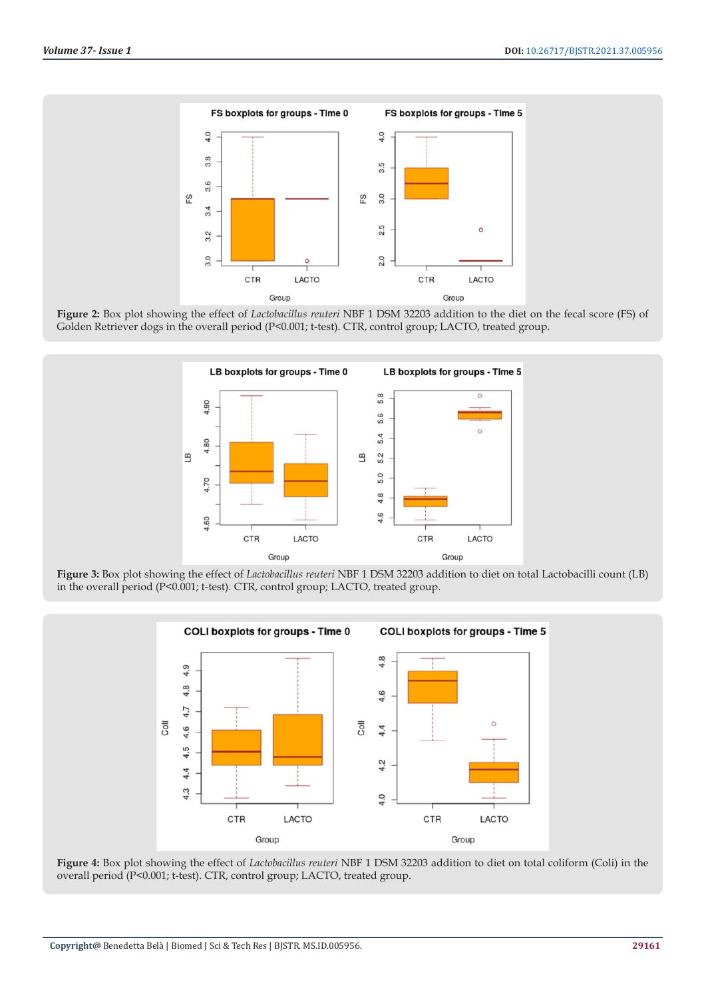

**Figure 2:** Box plot showing the effect of *Lactobacillus reuteri* NBF 1 DSM 32203 addition to the diet on the fecal score (FS) of Golden Retriever dogs in the overall period (P<0.001; t-test). CTR, control group; LACTO, treated group.



**Figure 3:** Box plot showing the effect of *Lactobacillus reuteri* NBF 1 DSM 32203 addition to diet on total Lactobacilli count (LB) in the overall period (P<0.001; t-test). CTR, control group; LACTO, treated group.



**Figure 4:** Box plot showing the effect of *Lactobacillus reuteri* NBF 1 DSM 32203 addition to diet on total coliform (Coli) in the overall period (P<0.001; t-test). CTR, control group; LACTO, treated group.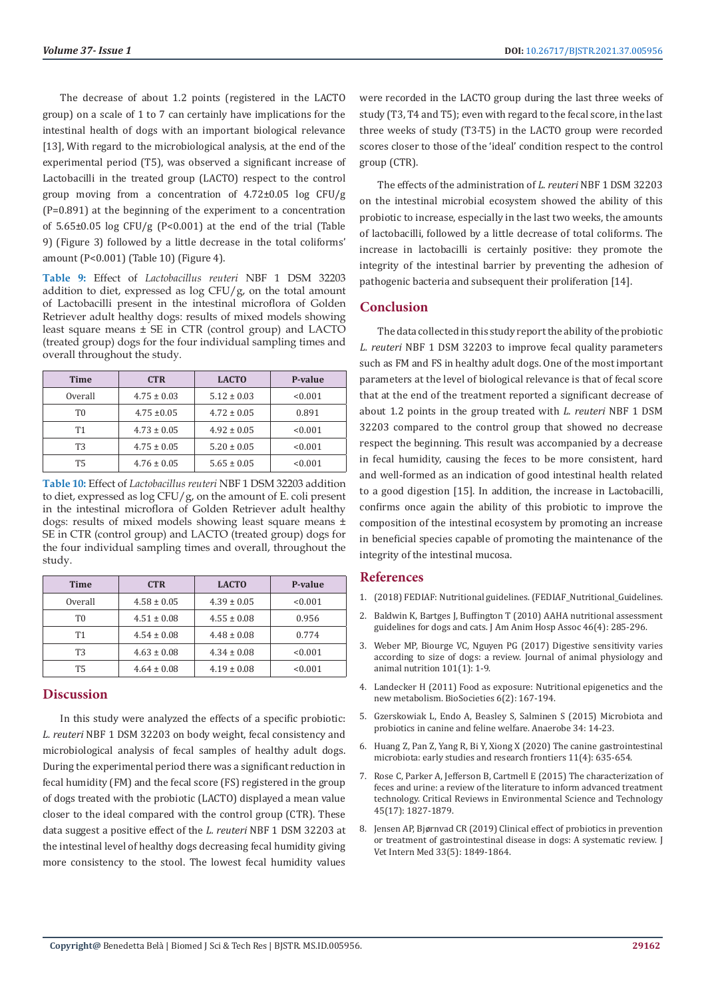The decrease of about 1.2 points (registered in the LACTO group) on a scale of 1 to 7 can certainly have implications for the intestinal health of dogs with an important biological relevance [13], With regard to the microbiological analysis, at the end of the experimental period (T5), was observed a significant increase of Lactobacilli in the treated group (LACTO) respect to the control group moving from a concentration of 4.72±0.05 log CFU/g (P=0.891) at the beginning of the experiment to a concentration of 5.65±0.05 log CFU/g (P<0.001) at the end of the trial (Table 9) (Figure 3) followed by a little decrease in the total coliforms' amount (P<0.001) (Table 10) (Figure 4).

**Table 9:** Effect of *Lactobacillus reuteri* NBF 1 DSM 32203 addition to diet, expressed as  $log CFU/g$ , on the total amount of Lactobacilli present in the intestinal microflora of Golden Retriever adult healthy dogs: results of mixed models showing least square means ± SE in CTR (control group) and LACTO (treated group) dogs for the four individual sampling times and overall throughout the study.

| <b>Time</b> | <b>CTR</b>      | <b>LACTO</b>    | P-value |
|-------------|-----------------|-----------------|---------|
| Overall     | $4.75 \pm 0.03$ | $5.12 \pm 0.03$ | < 0.001 |
| T0          | $4.75 \pm 0.05$ | $4.72 \pm 0.05$ | 0.891   |
| <b>T1</b>   | $4.73 \pm 0.05$ | $4.92 \pm 0.05$ | < 0.001 |
| T3          | $4.75 \pm 0.05$ | $5.20 \pm 0.05$ | < 0.001 |
| Т5          | $4.76 \pm 0.05$ | $5.65 \pm 0.05$ | < 0.001 |

**Table 10:** Effect of *Lactobacillus reuteri* NBF 1 DSM 32203 addition to diet, expressed as  $\log CFU/g$ , on the amount of E. coli present in the intestinal microflora of Golden Retriever adult healthy dogs: results of mixed models showing least square means ± SE in CTR (control group) and LACTO (treated group) dogs for the four individual sampling times and overall, throughout the study.

| <b>Time</b> | <b>CTR</b>      | <b>LACTO</b>    | P-value |
|-------------|-----------------|-----------------|---------|
| Overall     | $4.58 \pm 0.05$ | $4.39 \pm 0.05$ | < 0.001 |
| T0          | $4.51 \pm 0.08$ | $4.55 \pm 0.08$ | 0.956   |
| <b>T1</b>   | $4.54 \pm 0.08$ | $4.48 \pm 0.08$ | 0.774   |
| T3          | $4.63 \pm 0.08$ | $4.34 \pm 0.08$ | < 0.001 |
| <b>T5</b>   | $4.64 \pm 0.08$ | $4.19 \pm 0.08$ | < 0.001 |

# **Discussion**

In this study were analyzed the effects of a specific probiotic: *L. reuteri* NBF 1 DSM 32203 on body weight, fecal consistency and microbiological analysis of fecal samples of healthy adult dogs. During the experimental period there was a significant reduction in fecal humidity (FM) and the fecal score (FS) registered in the group of dogs treated with the probiotic (LACTO) displayed a mean value closer to the ideal compared with the control group (CTR). These data suggest a positive effect of the *L. reuteri* NBF 1 DSM 32203 at the intestinal level of healthy dogs decreasing fecal humidity giving more consistency to the stool. The lowest fecal humidity values were recorded in the LACTO group during the last three weeks of study (T3, T4 and T5); even with regard to the fecal score, in the last three weeks of study (T3-T5) in the LACTO group were recorded scores closer to those of the 'ideal' condition respect to the control group (CTR).

The effects of the administration of *L. reuteri* NBF 1 DSM 32203 on the intestinal microbial ecosystem showed the ability of this probiotic to increase, especially in the last two weeks, the amounts of lactobacilli, followed by a little decrease of total coliforms. The increase in lactobacilli is certainly positive: they promote the integrity of the intestinal barrier by preventing the adhesion of pathogenic bacteria and subsequent their proliferation [14].

# **Conclusion**

The data collected in this study report the ability of the probiotic *L. reuteri* NBF 1 DSM 32203 to improve fecal quality parameters such as FM and FS in healthy adult dogs. One of the most important parameters at the level of biological relevance is that of fecal score that at the end of the treatment reported a significant decrease of about 1.2 points in the group treated with *L. reuteri* NBF 1 DSM 32203 compared to the control group that showed no decrease respect the beginning. This result was accompanied by a decrease in fecal humidity, causing the feces to be more consistent, hard and well-formed as an indication of good intestinal health related to a good digestion [15]. In addition, the increase in Lactobacilli, confirms once again the ability of this probiotic to improve the composition of the intestinal ecosystem by promoting an increase in beneficial species capable of promoting the maintenance of the integrity of the intestinal mucosa.

# **References**

- 1. [\(2018\) FEDIAF: Nutritional guidelines. \(FEDIAF\\_Nutritional\\_Guidelines.](https://www.passeidireto.com/arquivo/82685442/fediaf-nutritional-guidelines-2018-27-8-online/25)
- 2. [Baldwin K, Bartges J, Buffington T \(2010\) AAHA nutritional assessment](https://pubmed.ncbi.nlm.nih.gov/20610704/) [guidelines for dogs and cats. J Am Anim Hosp Assoc 46\(4\): 285-296.](https://pubmed.ncbi.nlm.nih.gov/20610704/)
- 3. [Weber MP, Biourge VC, Nguyen PG \(2017\) Digestive sensitivity varies](https://pubmed.ncbi.nlm.nih.gov/27045769/) [according to size of dogs: a review. Journal of animal physiology and](https://pubmed.ncbi.nlm.nih.gov/27045769/) [animal nutrition 101\(1\): 1-9.](https://pubmed.ncbi.nlm.nih.gov/27045769/)
- 4. [Landecker H \(2011\) Food as exposure: Nutritional epigenetics and the](https://pubmed.ncbi.nlm.nih.gov/23227106/) [new metabolism. BioSocieties 6\(2\): 167-194.](https://pubmed.ncbi.nlm.nih.gov/23227106/)
- 5. [Gzerskowiak L, Endo A, Beasley S, Salminen S \(2015\) Microbiota and](https://pubmed.ncbi.nlm.nih.gov/25863311/) [probiotics in canine and feline welfare. Anaerobe 34: 14-23.](https://pubmed.ncbi.nlm.nih.gov/25863311/)
- 6. [Huang Z, Pan Z, Yang R, Bi Y, Xiong X \(2020\) The canine gastrointestinal](https://pubmed.ncbi.nlm.nih.gov/31992112/) [microbiota: early studies and research frontiers 11\(4\): 635-654.](https://pubmed.ncbi.nlm.nih.gov/31992112/)
- 7. [Rose C, Parker A, Jefferson B, Cartmell E \(2015\) The characterization of](https://www.ncbi.nlm.nih.gov/pmc/articles/PMC4500995/) [feces and urine: a review of the literature to inform advanced treatment](https://www.ncbi.nlm.nih.gov/pmc/articles/PMC4500995/) [technology. Critical Reviews in Environmental Science and Technology](https://www.ncbi.nlm.nih.gov/pmc/articles/PMC4500995/) [45\(17\): 1827-1879.](https://www.ncbi.nlm.nih.gov/pmc/articles/PMC4500995/)
- 8. Jensen AP, Bjø[rnvad CR \(2019\) Clinical effect of probiotics in prevention](https://pubmed.ncbi.nlm.nih.gov/31313372/) [or treatment of gastrointestinal disease in dogs: A systematic review. J](https://pubmed.ncbi.nlm.nih.gov/31313372/) [Vet Intern Med 33\(5\): 1849-1864.](https://pubmed.ncbi.nlm.nih.gov/31313372/)